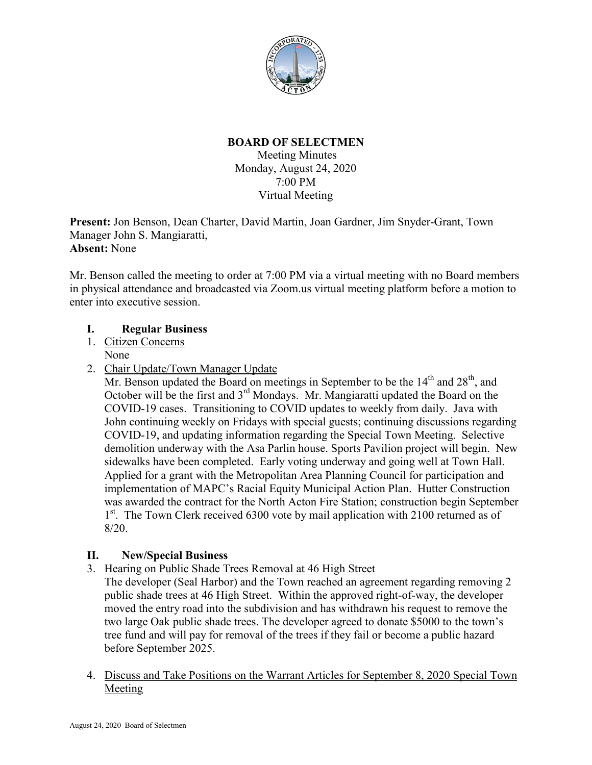

# **BOARD OF SELECTMEN**

Meeting Minutes Monday, August 24, 2020 7:00 PM Virtual Meeting

**Present:** Jon Benson, Dean Charter, David Martin, Joan Gardner, Jim Snyder-Grant, Town Manager John S. Mangiaratti, **Absent:** None

Mr. Benson called the meeting to order at 7:00 PM via a virtual meeting with no Board members in physical attendance and broadcasted via Zoom.us virtual meeting platform before a motion to enter into executive session.

## **I. Regular Business**

- 1. Citizen Concerns None
- 2. Chair Update/Town Manager Update

Mr. Benson updated the Board on meetings in September to be the  $14<sup>th</sup>$  and  $28<sup>th</sup>$ , and October will be the first and 3<sup>rd</sup> Mondays. Mr. Mangiaratti updated the Board on the COVID-19 cases. Transitioning to COVID updates to weekly from daily. Java with John continuing weekly on Fridays with special guests; continuing discussions regarding COVID-19, and updating information regarding the Special Town Meeting. Selective demolition underway with the Asa Parlin house. Sports Pavilion project will begin. New sidewalks have been completed. Early voting underway and going well at Town Hall. Applied for a grant with the Metropolitan Area Planning Council for participation and implementation of MAPC's Racial Equity Municipal Action Plan. Hutter Construction was awarded the contract for the North Acton Fire Station; construction begin September 1<sup>st</sup>. The Town Clerk received 6300 vote by mail application with 2100 returned as of 8/20.

## **II. New/Special Business**

3. Hearing on Public Shade Trees Removal at 46 High Street

The developer (Seal Harbor) and the Town reached an agreement regarding removing 2 public shade trees at 46 High Street. Within the approved right-of-way, the developer moved the entry road into the subdivision and has withdrawn his request to remove the two large Oak public shade trees. The developer agreed to donate \$5000 to the town's tree fund and will pay for removal of the trees if they fail or become a public hazard before September 2025.

4. Discuss and Take Positions on the Warrant Articles for September 8, 2020 Special Town Meeting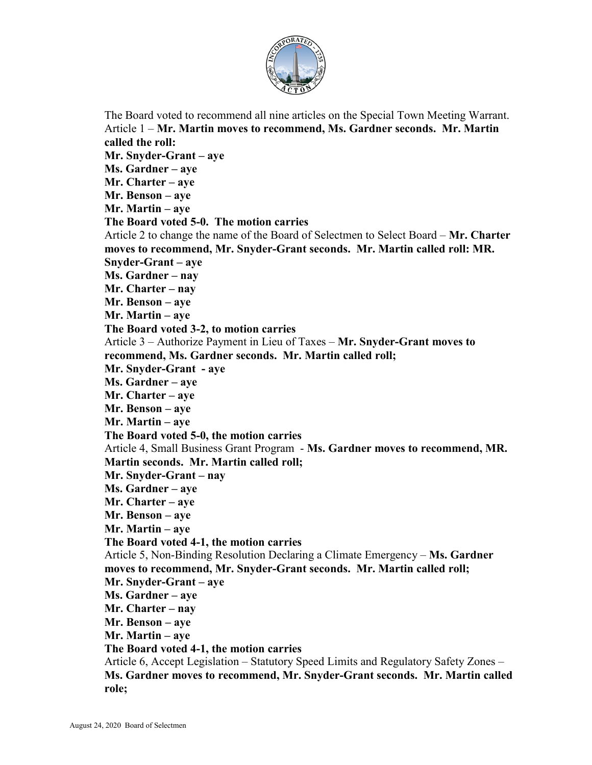

The Board voted to recommend all nine articles on the Special Town Meeting Warrant. Article 1 – **Mr. Martin moves to recommend, Ms. Gardner seconds. Mr. Martin called the roll: Mr. Snyder-Grant – aye Ms. Gardner – aye Mr. Charter – aye Mr. Benson – aye Mr. Martin – aye The Board voted 5-0. The motion carries** Article 2 to change the name of the Board of Selectmen to Select Board – **Mr. Charter moves to recommend, Mr. Snyder-Grant seconds. Mr. Martin called roll: MR. Snyder-Grant – aye Ms. Gardner – nay Mr. Charter – nay Mr. Benson – aye Mr. Martin – aye The Board voted 3-2, to motion carries** Article 3 – Authorize Payment in Lieu of Taxes – **Mr. Snyder-Grant moves to recommend, Ms. Gardner seconds. Mr. Martin called roll; Mr. Snyder-Grant - aye Ms. Gardner – aye Mr. Charter – aye Mr. Benson – aye Mr. Martin – aye The Board voted 5-0, the motion carries** Article 4, Small Business Grant Program - **Ms. Gardner moves to recommend, MR. Martin seconds. Mr. Martin called roll; Mr. Snyder-Grant – nay Ms. Gardner – aye Mr. Charter – aye Mr. Benson – aye Mr. Martin – aye The Board voted 4-1, the motion carries** Article 5, Non-Binding Resolution Declaring a Climate Emergency – **Ms. Gardner moves to recommend, Mr. Snyder-Grant seconds. Mr. Martin called roll; Mr. Snyder-Grant – aye Ms. Gardner – aye Mr. Charter – nay Mr. Benson – aye Mr. Martin – aye The Board voted 4-1, the motion carries** Article 6, Accept Legislation – Statutory Speed Limits and Regulatory Safety Zones – **Ms. Gardner moves to recommend, Mr. Snyder-Grant seconds. Mr. Martin called role;**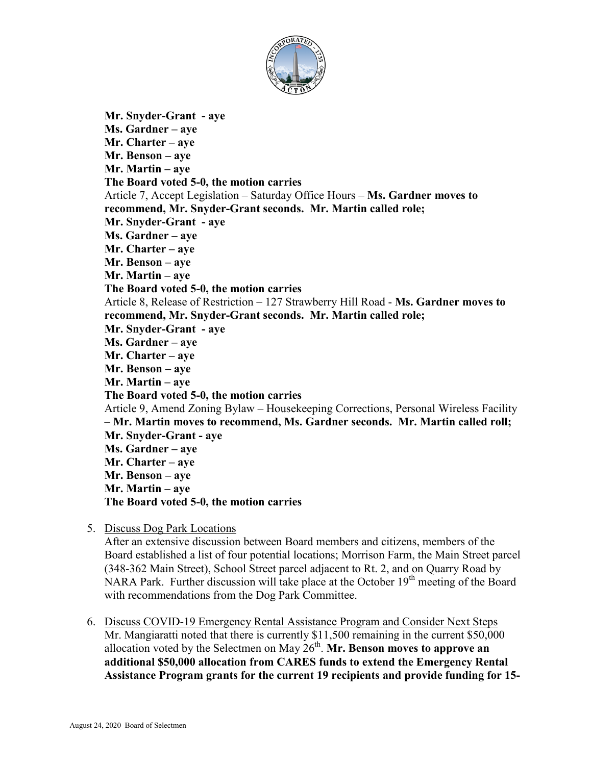

**Mr. Snyder-Grant - aye Ms. Gardner – aye Mr. Charter – aye Mr. Benson – aye Mr. Martin – aye The Board voted 5-0, the motion carries** Article 7, Accept Legislation – Saturday Office Hours – **Ms. Gardner moves to recommend, Mr. Snyder-Grant seconds. Mr. Martin called role; Mr. Snyder-Grant - aye Ms. Gardner – aye Mr. Charter – aye Mr. Benson – aye Mr. Martin – aye The Board voted 5-0, the motion carries** Article 8, Release of Restriction – 127 Strawberry Hill Road - **Ms. Gardner moves to recommend, Mr. Snyder-Grant seconds. Mr. Martin called role; Mr. Snyder-Grant - aye Ms. Gardner – aye Mr. Charter – aye Mr. Benson – aye Mr. Martin – aye The Board voted 5-0, the motion carries** Article 9, Amend Zoning Bylaw – Housekeeping Corrections, Personal Wireless Facility – **Mr. Martin moves to recommend, Ms. Gardner seconds. Mr. Martin called roll; Mr. Snyder-Grant - aye Ms. Gardner – aye Mr. Charter – aye Mr. Benson – aye Mr. Martin – aye The Board voted 5-0, the motion carries**

5. Discuss Dog Park Locations

After an extensive discussion between Board members and citizens, members of the Board established a list of four potential locations; Morrison Farm, the Main Street parcel (348-362 Main Street), School Street parcel adjacent to Rt. 2, and on Quarry Road by NARA Park. Further discussion will take place at the October  $19<sup>th</sup>$  meeting of the Board with recommendations from the Dog Park Committee.

6. Discuss COVID-19 Emergency Rental Assistance Program and Consider Next Steps Mr. Mangiaratti noted that there is currently \$11,500 remaining in the current \$50,000 allocation voted by the Selectmen on May  $26<sup>th</sup>$ . **Mr. Benson moves to approve an additional \$50,000 allocation from CARES funds to extend the Emergency Rental Assistance Program grants for the current 19 recipients and provide funding for 15-**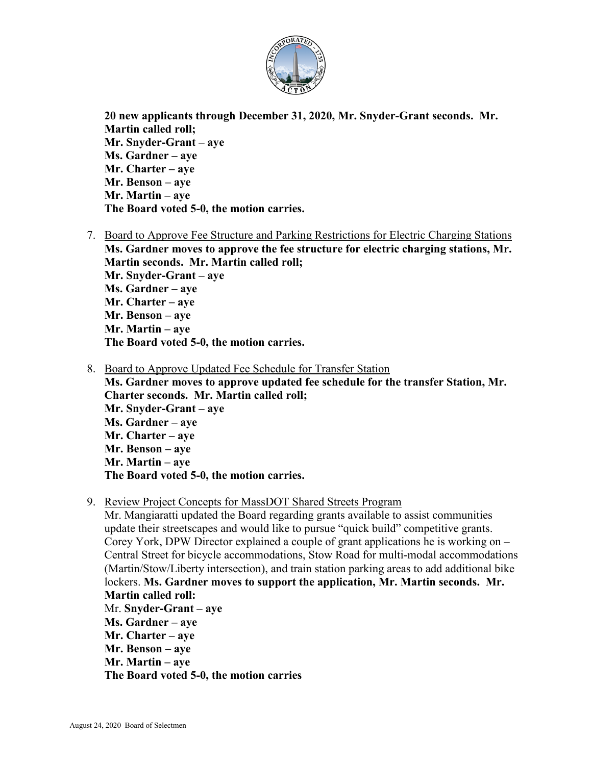

**20 new applicants through December 31, 2020, Mr. Snyder-Grant seconds. Mr. Martin called roll; Mr. Snyder-Grant – aye Ms. Gardner – aye Mr. Charter – aye Mr. Benson – aye Mr. Martin – aye The Board voted 5-0, the motion carries.**

- 7. Board to Approve Fee Structure and Parking Restrictions for Electric Charging Stations **Ms. Gardner moves to approve the fee structure for electric charging stations, Mr. Martin seconds. Mr. Martin called roll; Mr. Snyder-Grant – aye Ms. Gardner – aye Mr. Charter – aye Mr. Benson – aye Mr. Martin – aye The Board voted 5-0, the motion carries.**
- 8. Board to Approve Updated Fee Schedule for Transfer Station

**Ms. Gardner moves to approve updated fee schedule for the transfer Station, Mr. Charter seconds. Mr. Martin called roll; Mr. Snyder-Grant – aye Ms. Gardner – aye Mr. Charter – aye Mr. Benson – aye Mr. Martin – aye The Board voted 5-0, the motion carries.**

9. Review Project Concepts for MassDOT Shared Streets Program

Mr. Mangiaratti updated the Board regarding grants available to assist communities update their streetscapes and would like to pursue "quick build" competitive grants. Corey York, DPW Director explained a couple of grant applications he is working on – Central Street for bicycle accommodations, Stow Road for multi-modal accommodations (Martin/Stow/Liberty intersection), and train station parking areas to add additional bike lockers. **Ms. Gardner moves to support the application, Mr. Martin seconds. Mr. Martin called roll:** Mr. **Snyder-Grant – aye Ms. Gardner – aye Mr. Charter – aye Mr. Benson – aye Mr. Martin – aye The Board voted 5-0, the motion carries**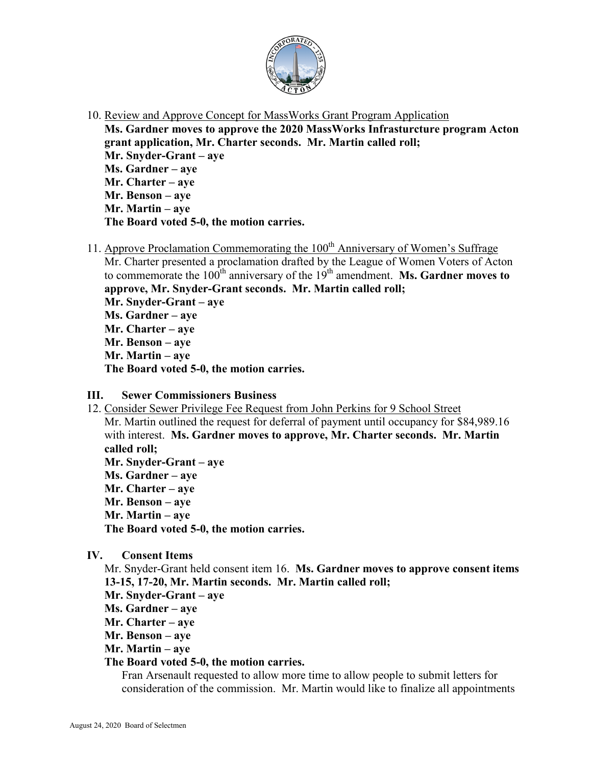

10. Review and Approve Concept for MassWorks Grant Program Application

**Ms. Gardner moves to approve the 2020 MassWorks Infrasturcture program Acton grant application, Mr. Charter seconds. Mr. Martin called roll; Mr. Snyder-Grant – aye Ms. Gardner – aye Mr. Charter – aye Mr. Benson – aye Mr. Martin – aye The Board voted 5-0, the motion carries.**

11. Approve Proclamation Commemorating the  $100<sup>th</sup>$  Anniversary of Women's Suffrage

Mr. Charter presented a proclamation drafted by the League of Women Voters of Acton to commemorate the  $100<sup>th</sup>$  anniversary of the  $19<sup>th</sup>$  amendment. **Ms. Gardner moves to approve, Mr. Snyder-Grant seconds. Mr. Martin called roll; Mr. Snyder-Grant – aye**

**Ms. Gardner – aye Mr. Charter – aye Mr. Benson – aye Mr. Martin – aye The Board voted 5-0, the motion carries.**

# **III. Sewer Commissioners Business**

12. Consider Sewer Privilege Fee Request from John Perkins for 9 School Street Mr. Martin outlined the request for deferral of payment until occupancy for \$84,989.16 with interest. **Ms. Gardner moves to approve, Mr. Charter seconds. Mr. Martin called roll; Mr. Snyder-Grant – aye Ms. Gardner – aye Mr. Charter – aye Mr. Benson – aye Mr. Martin – aye The Board voted 5-0, the motion carries.**

**IV. Consent Items**

Mr. Snyder-Grant held consent item 16. **Ms. Gardner moves to approve consent items 13-15, 17-20, Mr. Martin seconds. Mr. Martin called roll;**

- **Mr. Snyder-Grant – aye**
- **Ms. Gardner – aye**
- **Mr. Charter – aye**
- **Mr. Benson – aye**
- **Mr. Martin – aye**

## **The Board voted 5-0, the motion carries.**

Fran Arsenault requested to allow more time to allow people to submit letters for consideration of the commission. Mr. Martin would like to finalize all appointments